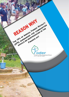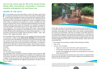*Here are the reasons why the 10% of the Annual Forestry Royalty (RFA), earmarked for communities in Cameroon, should be reintroduced in the next Finance Law.*

# *REVIEW OF THE FACTS*

For two decades now, local communities as well as the State, and the local and regional authorities have been involved in the policy for the fight against poverty and for development, which is promoted by the President of or two decades now, local communities as well as the State, and the local and regional authorities have been involved in the policy for the fight against poverty and for development, which is promoted by the President of the Reformalization of the decentralized management of forests and logging revenues which intends to perpetuate and develop the economic, ecological and social functions of forests with a view to «attaining the general objectives of the forestry, wildlife and fisheries policy, within the framework of an integrated management ensuring sustainable conservation and use of the said resources and of the various ecosystems»<sup>1</sup>. The Annual Forestry Royalty (RFA) stands in good position among logging revenues managed in a decentralised way. This is why from 2007 to 2014, the General Tax Code provided in its section 243 provided that: « (...). The proceeds of annual forestry royalties shall be allocated as follows: - State : 50%, Councils : 40%, Village communities : 10% (...)».

But in December 2014, the 2015 Finance Law was adopted, with adverse impacts on communities. In effect, section **243 of Law No. 2014/026** of 23 December 2014 on the Finance Law of the Republic of Cameroon for the 2015 financial year brings into question the purposes of the decentralized management of the RFA while suppressing the 10% of this royalty, earmarked for communities. It introduces a new key for the allocation of annual forestry royalties, which excludes communities. It provides that: «The proceeds of annual forestry royalties shall be allocated as follows:

State : 50 %

Councils : 50 %

The rest shall remain unchanged.»

On 31 December 2014, the Director General of Taxation issues Circular No. 004/ MINFI/DGI of 26 January 2015 setting out the modalities for the application of the tax provisions contained in the 2015 Finance Law and allocate the councils' RFA as follows: 22.5% for councils; 22.5% for FEICOM and 5% for the tax administration. This circular definitely denies neighbouring populations the right to annual forestry royalties



At first sight, the share of communities would have been partly transferred to councils. But forestry councils represented in the Cameroon forestry councils association stand against this measure which they consider counterproductive for councils and communities<sup>2</sup>. MPs who are members of the MPs network for the sustainable management of ecosystems have opposed this. It is likely that the issue had not been properly reviewed and discussed during the session when the said Finance Law was adopted. Despite these claims, the 2016 Finance Law is still excluding neighbouring communities from the AFR benefits. Section 243 of this Law provides that:

"…The proceeds of annual forestry royalties shall be allocated as follows:

- State : 50 %
- Councils : 50 %, including:
	- Support to recovery: 10 % of the 50 %, which represents 5 %;
	- Centralisation to FEICOM: 36 % of the 50 %, which represents 18 %
	- Councils of the logging licence location: the remaining 54 % of the 50 %, which represents 27 %"

On the eve of the opening of the parliamentary session which is to adopt the 2016 Finance Law, this document is issued in order to support the reintroduction of the RFA share meant for communities.

*<sup>2</sup> Joint Statement of REPAR and ACFCAM on the modalities for the allocation of annual forestry royalty following the workshop of the elected representatives and traditional authorities concerning the assessment of the impacts of the 2015 Finance Law, and the implementing provisions thereof, on councils and village forest management communities, held at the Commission Room, on the 3rd floor of the National Assembly building in Yaounde.*

*<sup>1</sup> Section 1 of Law No. 94/01 of 20 January 1994 to lay down forestry, wildlife and fisheries regulations*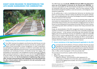# EIGHT GOOD REASONS TO REINTRODUCE THE AFR SHARE EARMARKED FOR COMMUNITIES



### *1. Safeguarding the achievements of forestry decentralisation*

Since 1994, Cameroon has adopted a new forestry law which focuses not only on the sustainable management of resources, but also on a greater participation of local communities in forest management. In order to operationali ince 1994, Cameroon has adopted a new forestry law which focuses not only on the sustainable management of resources, but also on a greater participation of local communities in forest management. In order to operationaintroduced, notably regarding community forests, community participation in the classification and monitoring of forests, and benefit sharing<sup>3</sup> from logging. This participation of communities in the management of forests aimed also at fighting against poverty and exclusion in rural areas. It is in this line that **section 68 par. 2** of Law No. 94/01 of 20 January 1994 to lay down forestry, wildlife and fisheries regulations provides that **«for the development of neighbouring village communities, of certain communal forests under exploitation, part of the proceeds from the sales of forest products shall be reserved for the said communities under conditions laid down by decree»**.

*3 This concerns benefits in kind, such as the achievement of social and economic works, as well as financial benefits, including a RFA share earmarked for communities.*

The 1994 Forest Law and **Law No. 2000/08 of 30 June 2000 to lay down the Finance Law of the Republic of Cameroon for the financial year 2000/2001** devolves the responsibility for RFA decentralized management to Local and Regional Authorities (LRA) and local communities. There are three purposes for RFA decentralized management (political, social and economic, and ecological), which should be recalled here.

On the political plan, it aims at promoting local democracy by devolving more powers to communities in decision-making and allowing more popular participation , and by enabling debates, discussions and dialogues around the management of forestry revenues at the local level.

On the social and economic plan, it aims not only at restoring justice, equity and social peace by compensating the loss of environmental goods and services for communities living on forests, due to the allocation of logging licences; but also it focuses on local development by providing communities with the means necessary for achieving works which contribute to improve their living environment and conditions.

Finally, the decentralization of the RFA management intends to encourage communities to contribute to an efficient conservation and a sustainable management of forest resources . In fact, because communities get some benefits from legal logging, they ensure that forest resources are exploited in a legal and sustainable way for them to continue getting benefits in terms of development and improvement of their welfare. This means that allocating the RFA to communities is important because it enables to learn how to practice democracy, but also how to manage collectively the goods and resources at their disposal.

# *1. Ensure consistency in the legal framework applicable to the RFA 2 .*

**ORE SHOULD AND THE SHOULD THE SHOULD THE SHOULD THE SHOULD FOR SHOULD FOR SHOULD FOR SHOULD FOR SHOULD FOR SHOULD FOR SHOULD FOR SHOULD FOR SHOULD FOR SHOULD FOR SHOULD FOR SHOULD FOR SHOULD FOR SHOULD FOR SHOULD FOR SHOU** of benefits from annual forestry royalty builds on Decree No. 2011/1731/ PM of 18 July mentioned above. But it should also be noted that allocation key set by the 2011 Decree keeps the 10 % of RFA meant for neighbouring communities. In effect, section 8 paragraph 1 of this text provides that:

The proceeds of annual forestry royalties shall be allocated as follows:

- State : 50 %
- Neigbouring village communities: 10 %
	- Support to recovery : 10 % of the 40 %, which represents 4 % ;
	- Centralisation to FEICOM: 45 % of the 40 %, which represents 18 %
	- Council of the logging licence location: 45 % of the remaining 40 %, which represents 18 %"

**4 5** *5 NGOUMOU MBARGA, Étude empirique de la fiscalité forestière décentralisée au Cameroun : un levier de développement local ? Hubert Montpellier, décembre 2005. p7*

*<sup>4</sup> Antang Yamo, Représentation locale compromise dans la gestion de la rente forestière communautaire du sud-est Cameroun, Document de travail du RGFI N°12*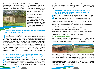This decree is compliant to Law N° 2009/019 of 15 December 2009 on local fiscal system, which provides in its section 52 that : "A share (40%) of proceeds from annual forestry taxes shall be paid to councils in accordance with the provisions of the General Tax Code." Therefore, 2015 and 2016 Finance Laws are



inconsistent with Law No. 2009/019 which is not yet abrogated. They are also contrary to section 8 of Decree No. 2011/1731/PM of 18 July 2011 laying down the modalities for the centralization, sharing and transfer of proceeds from community taxes subject to equalization, on the one hand, and also to Joint Order No. 0076MINFI/ MINATD/MINFOF of 26 June 2012 on the other hand.

# *1. The issue of communities' legal capacity cannot provide grounds 3 . for the suppression of the 10 %*

The argument that the suppression of the community share is due to the fact that communities do not have legal capacity is not relevant given that these communities do not manage RFA funds intended for neighbouring communi he argument that the suppression of the community share is due to the fact that communities do not have legal capacity is not relevant given that these communities do not manage RFA funds intended for neighbouring location. Councils have legal capacity and are structured. So, they can manage RFA funds earmarked to communities and be hold accountable for this. According to the 2012 Joint Order, communities make proposals for and monitor the good management of these funds through the riparian committee which is made up of members from different social background and from different communities. The said committee is recognized by an order signed by the Sub-divisional Officer of the locality; that gives the committee the legal capacity to act on behalf of local communities.

#### *1. The suppression of the 10 % of RFA in the Finance Law gives rise, 4. at the local level, to conflicting interpretations of the right of neighbouring communities to a share of RFA*

Since the 10 % of RFA was suppressed from the 2015 and 2016 Finance Law, there is general confusion at councils on how to apply the 2012 joint order.<br>Some mayors think that neighbouring communities have no more share in th ince the 10 % of RFA was suppressed from the 2015 and 2016 Finance Law, there is general confusion at councils on how to apply the 2012 joint order. Some mayors think that neighbouring communities have no more share in gement of the increased share of RFA meant for councils. This situation causes tension between local elected representatives and communities. The Finance Law should therefore clarify the rights of neighbouring communities to the 10 % of RFA.

#### *1. Perpetuating the valuable contributions of those 10% of the RFA to the improvement of the living conditions of neighbouring communities 5 .*

Since the 10 % of RFA was suppressed from the 2015 and 2016 Finance I there is general confusion at councils on how to apply the 2012 joint or Some mayors think that neighbouring communities have no more share in the RFA w lince the 10 % of RFA was suppressed from the 2015 and 2016 Finance Law. there is general confusion at councils on how to apply the 2012 joint order. Some mayors think that neighbouring communities have no more share management of the increased share of RFA meant for councils. This situation causes tension between local elected representatives and communities. The Finance Law should therefore clarify the rights of neighbouring communities to the 10 % of RFA.

Perpetuating the valuable contributions of those 10% of the RFA to the improvement of the living conditions of neighbouring communities

Studies carried out by the civil society and research institutions show that the RFA funds meant for communities are notably used for education, health, access to water and electricity, and the improvement of the habitat

#### *a. Improvement of education*

The contribution of the RFA share intended for communities to education is materialized by the construction of classrooms and/or rehabilitation works of damaged buildings, the purchase of desks, the recruitment and payment of temporary teachers.



Thus, in Lomié Sub-division, Haut-Nyong Division, East Region, a public primary school closed for two years due to the lack of teachers and resources that would have enabled parents to take care of temporary teachers was reopened in September 2015 thanks to the 10% of the RFA of the 2014 financial year.

It must therefore be feared that this school and perhaps many others that are operational thanks to the RFA share earmarked for communities may be closed if the suspension of this share is maintained.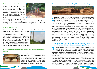#### *b. Access to potable water*

If access to potable water is a main concern in urban areas throughout the national territory, it is even more acute in rural areas. In communities benefiting from the RFA, their share has often enabled to construct equipped wells and boreholes and to maintain them.



So, if the forest communities characterized by the pollution of the rivers they

depend on for drinking and cooking water were definitely deprived from the possibility to get the funds enabling them to construct equipped wells and boreholes, they will surely experience an upsurge of waterborne diseases.

### *c. Access to electricity*

In some localities like the communities of the Ngwei Sub-division, Sanaga Mari-

time Division, Littoral Region, projects of rural electrification were undertaken thanks to the RFA share earmarked for communities. These projects may be interrupted if this RFA share is suspended. Yet, access to electricity contributes not only to the improvement of the living conditions, but also to the quality of school results, and it is also a driving force for development. Therefore, communities must be given the means to get resources to reach these goals, and the 10% of the RFA are one of those means.



# *d. Construction of community homes and equipment of health centres*



In almost all communities in forest areas, the RFA share meant for communities helped to construct community homes commonly called "guard houses" or "palaver huts". Also, these funds are often used to provide health centres with first-aid products, as in the case of Eschiembor village in Lomié Sub-Division.

*6. Eviter une augmentation de l'exploitation forestière illégale*



Sharing revenues from the RFA with communities is not only a compensation for the loss of the services and goods they got from the logged forests, but also an incentive for these communities to fight against illegal forest haring revenues from the RFA with communities is not only a compensation for the loss of the services and goods they got from the logged forests, but also an incentive for these communities to fight against illegal forest activifringements to forest legislation committed by other stakeholders and make them become accomplices of illegal logging.

In the present context characterized by the implementation of the Voluntary Partnership Agreement on Forest Law Enforcement, Governance and Trade of timber and derived products (VPA FLEGT), which intends to fight against illegal logging and related trade, one may fear that the efforts of the Government of Cameroon in this domain would be challenged. This would seriously tarnish the image of Cameroon timber and would also cause huge economic and ecological losses for the State and the whole nation. In addition, the upsurge of illegal logging would adversely impact the commitments taken by Cameroon to fight against climate change, including reducing greenhouse gas emissions from forest deforestation and degradation.

#### *1. Avoiding the increase of the RFA misappropriation at local level and the impoverishment of communities living on forests 7*

Experiences from logging are the main if not the sole source of funds available<br>for local populations depending on forests to achieve local redevelopment.<br>It is likely that the suppression of the 10% of the RFA share inten for local populations depending on forests to achieve local redevelopment. It is likely that the suppression of the 10% of the RFA share intended for communities will maintain these communities in a state of poverty and vulnerability that is contrary to the national policy for the fight against poverty and for development.

It may be inferred that funds managed by the Council are a priori destined to local development. But on the field, the reality is something else. Actually, between the priorities for development concerning the whole territory of the council, and governance issues, it is generally the RFA share designed for communities that is used for the achievement of development projects in the neighbouring communities concerned. The RFA being the main source of revenue of forest councils, a

**8 9**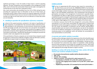significant percentage, or even the totality of these funds is used for operating expenses. The poor transparency and accountability in the management of local affairs result in the fact that communities finally have the right or prerogatives for monitoring only on the share that is allocated to them<sup>6</sup>.

Also, many communities who benefited from the 10 % of RFAs during the years preceding the suppression have no information on the use of those funds, yet received by councils. Many of these councils are using the suppression of the RFA in the 2015 and 2016 Finance Law as an excuse to retain the funds or deny to communities any right to the funds which yet are not referred to in those laws which are not retroactive.

# *1. Avoiding to question the specifications of forestry companies 8 .*

In almost all the special provisions contained in the books of specifications of forest companies, it is provided that "the concession holder is deemed to financially participate to the achievement of socio-economic infras n almost all the special provisions contained in the books of specifications of forest companies, it is provided that "the concession holder is deemed to financially participate to the achievement of socio-economic infrastructure through communities". Therefore, one may wonder what would be the legality of timber produced by companies which regularly paid the RFA but of which the 10 % are no more paid to communities. Should all the specifications including this provision be revised in order to be adapted to the new context?

If the specifications of forestry companies are not revised, these companies would be exposed to a denial of the certificates of legality under the VPA FLEGT, and then, to difficulties to export timber to European Union markets<sup>7</sup>.



*6 See Joint Order 076 MINADT/MINFI/MINFOF of 26 June 2012 laying down procedures for planning, use and monitoring of the management of revenues from the exploitation of forest and wildlife resources for municipalities and neighbouring village communities. 7 Respecting the provisions of the specifications is one of the means of verification of VPA FLEGT for the issuing of certificates of legality.* 

# **CONCLUSION**

The fact of suppressing the RFA revenues share meant for communities, in the 2015 Finance Law and Circular No. 00000683/C/MINFI of 31 December 2014 setting out the instructions relating to the enforcement of finance laws a he fact of suppressing the RFA revenues share meant for communities, in the 2015 Finance Law and Circular No. 00000683/C/MINFI of 31 December 2014 setting out the instructions relating to the enforcement of finance laws right to a fair and equitable compensation, and a questioning of the principle of participation and equity in the management of environment, especially forests. This jeopardizes the efforts to fight poverty and develop rural areas in a context marked by the quest for emergence. Maintaining the suppression of the 10% of the RFA, earmarked for communities, might seriously impede the efforts of Cameroon to fight against illegal logging and to improve the integrity of the forest sector.

It is therefore necessary that the RFA share designed for communities (10%) be reintroduced, so as to give these communities the opportunity to achieve local development and be encouraged to contribute in the fight against illegal logging. The civil society, the Members of Parliament and the relevant administrations should therefore work not only for this reintroduction, but also for the obstacles to the full and effective participation of communities to be removed, and for a monitoring system to be established, which will facilitate the accountability of local representatives to communities.

#### *A concrete and realistic solution is possible:*

To address all the challenges related to the suppression of the 10 % of the RFA meant for communities, the most realistic solution is to apply Decree No. 2011/1731/PM of 18 July 2011 to set up the modalities for the centralization, sharing and transfer of proceeds from community taxes subject to equalization, while specifying that the funds earmarked to communities are managed by councils. These funds cannot be confused with the share of RFA intended to councils, and then included while applying the percentage allocated to support recovery.

## *Building on section 239 of the General Tax Code, section 243 of the Finance Law could be redrafted as follows:*

- *« …The proceeds of annual forestry royalties shall be allocated as follows::*
- *• State : 50 %*
- *• Councils : 40 %, including:*
- *• Support to recovery : 10 % of the 40 % ,which represents 4 % ;*
	- *• Centralisation to FEICOM: 45 % of the 40 %, which represents 18 %*
	- *• Councils of the logging licence location: 45 % of the 40 %, which represents 18 %*
	- *• Neighbouring communities: 10 % managed by the council of the location ».*